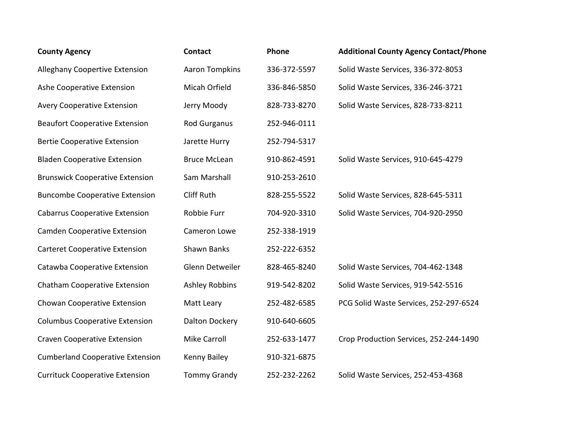| <b>County Agency</b>                    | <b>Contact</b>        | Phone        | <b>Additional County Agency Contact/Phone</b> |
|-----------------------------------------|-----------------------|--------------|-----------------------------------------------|
| <b>Alleghany Coopertive Extension</b>   | <b>Aaron Tompkins</b> | 336-372-5597 | Solid Waste Services, 336-372-8053            |
| Ashe Cooperative Extension              | Micah Orfield         | 336-846-5850 | Solid Waste Services, 336-246-3721            |
| <b>Avery Cooperative Extension</b>      | Jerry Moody           | 828-733-8270 | Solid Waste Services, 828-733-8211            |
| <b>Beaufort Cooperative Extension</b>   | <b>Rod Gurganus</b>   | 252-946-0111 |                                               |
| <b>Bertie Cooperative Extension</b>     | Jarette Hurry         | 252-794-5317 |                                               |
| <b>Bladen Cooperative Extension</b>     | <b>Bruce McLean</b>   | 910-862-4591 | Solid Waste Services, 910-645-4279            |
| <b>Brunswick Cooperative Extension</b>  | Sam Marshall          | 910-253-2610 |                                               |
| <b>Buncombe Cooperative Extension</b>   | <b>Cliff Ruth</b>     | 828-255-5522 | Solid Waste Services, 828-645-5311            |
| <b>Cabarrus Cooperative Extension</b>   | Robbie Furr           | 704-920-3310 | Solid Waste Services, 704-920-2950            |
| <b>Camden Cooperative Extension</b>     | Cameron Lowe          | 252-338-1919 |                                               |
| <b>Carteret Cooperative Extension</b>   | Shawn Banks           | 252-222-6352 |                                               |
| Catawba Cooperative Extension           | Glenn Detweiler       | 828-465-8240 | Solid Waste Services, 704-462-1348            |
| <b>Chatham Cooperative Extension</b>    | <b>Ashley Robbins</b> | 919-542-8202 | Solid Waste Services, 919-542-5516            |
| Chowan Cooperative Extension            | Matt Leary            | 252-482-6585 | PCG Solid Waste Services, 252-297-6524        |
| <b>Columbus Cooperative Extension</b>   | <b>Dalton Dockery</b> | 910-640-6605 |                                               |
| <b>Craven Cooperative Extension</b>     | <b>Mike Carroll</b>   | 252-633-1477 | Crop Production Services, 252-244-1490        |
| <b>Cumberland Cooperative Extension</b> | Kenny Bailey          | 910-321-6875 |                                               |
| <b>Currituck Cooperative Extension</b>  | <b>Tommy Grandy</b>   | 252-232-2262 | Solid Waste Services, 252-453-4368            |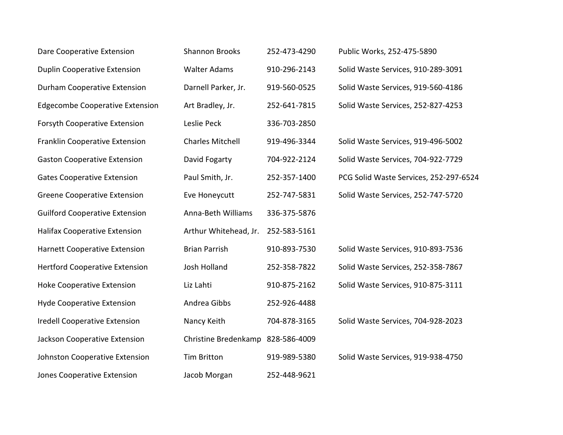| Dare Cooperative Extension             | <b>Shannon Brooks</b>   | 252-473-4290 | Public Works, 252-475-5890             |
|----------------------------------------|-------------------------|--------------|----------------------------------------|
| <b>Duplin Cooperative Extension</b>    | <b>Walter Adams</b>     | 910-296-2143 | Solid Waste Services, 910-289-3091     |
| Durham Cooperative Extension           | Darnell Parker, Jr.     | 919-560-0525 | Solid Waste Services, 919-560-4186     |
| <b>Edgecombe Cooperative Extension</b> | Art Bradley, Jr.        | 252-641-7815 | Solid Waste Services, 252-827-4253     |
| <b>Forsyth Cooperative Extension</b>   | Leslie Peck             | 336-703-2850 |                                        |
| Franklin Cooperative Extension         | <b>Charles Mitchell</b> | 919-496-3344 | Solid Waste Services, 919-496-5002     |
| <b>Gaston Cooperative Extension</b>    | David Fogarty           | 704-922-2124 | Solid Waste Services, 704-922-7729     |
| <b>Gates Cooperative Extension</b>     | Paul Smith, Jr.         | 252-357-1400 | PCG Solid Waste Services, 252-297-6524 |
| <b>Greene Cooperative Extension</b>    | Eve Honeycutt           | 252-747-5831 | Solid Waste Services, 252-747-5720     |
| <b>Guilford Cooperative Extension</b>  | Anna-Beth Williams      | 336-375-5876 |                                        |
| <b>Halifax Cooperative Extension</b>   | Arthur Whitehead, Jr.   | 252-583-5161 |                                        |
| <b>Harnett Cooperative Extension</b>   | <b>Brian Parrish</b>    | 910-893-7530 | Solid Waste Services, 910-893-7536     |
| <b>Hertford Cooperative Extension</b>  | <b>Josh Holland</b>     | 252-358-7822 | Solid Waste Services, 252-358-7867     |
| <b>Hoke Cooperative Extension</b>      | Liz Lahti               | 910-875-2162 | Solid Waste Services, 910-875-3111     |
| <b>Hyde Cooperative Extension</b>      | Andrea Gibbs            | 252-926-4488 |                                        |
| <b>Iredell Cooperative Extension</b>   | Nancy Keith             | 704-878-3165 | Solid Waste Services, 704-928-2023     |
| Jackson Cooperative Extension          | Christine Bredenkamp    | 828-586-4009 |                                        |
| Johnston Cooperative Extension         | <b>Tim Britton</b>      | 919-989-5380 | Solid Waste Services, 919-938-4750     |
| <b>Jones Cooperative Extension</b>     | Jacob Morgan            | 252-448-9621 |                                        |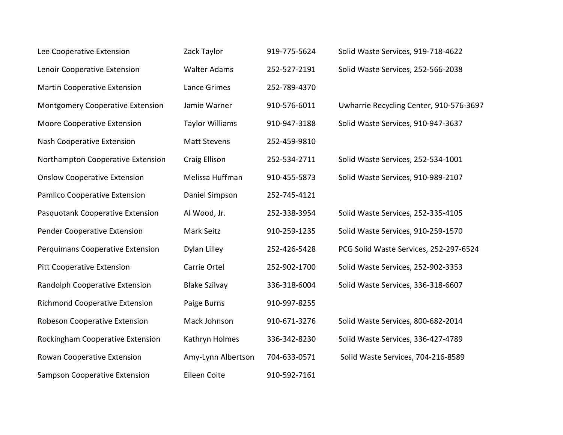| Lee Cooperative Extension               | Zack Taylor            | 919-775-5624 | Solid Waste Services, 919-718-4622      |
|-----------------------------------------|------------------------|--------------|-----------------------------------------|
| Lenoir Cooperative Extension            | <b>Walter Adams</b>    | 252-527-2191 | Solid Waste Services, 252-566-2038      |
| <b>Martin Cooperative Extension</b>     | Lance Grimes           | 252-789-4370 |                                         |
| <b>Montgomery Cooperative Extension</b> | Jamie Warner           | 910-576-6011 | Uwharrie Recycling Center, 910-576-3697 |
| <b>Moore Cooperative Extension</b>      | <b>Taylor Williams</b> | 910-947-3188 | Solid Waste Services, 910-947-3637      |
| Nash Cooperative Extension              | <b>Matt Stevens</b>    | 252-459-9810 |                                         |
| Northampton Cooperative Extension       | <b>Craig Ellison</b>   | 252-534-2711 | Solid Waste Services, 252-534-1001      |
| <b>Onslow Cooperative Extension</b>     | Melissa Huffman        | 910-455-5873 | Solid Waste Services, 910-989-2107      |
| Pamlico Cooperative Extension           | Daniel Simpson         | 252-745-4121 |                                         |
| Pasquotank Cooperative Extension        | Al Wood, Jr.           | 252-338-3954 | Solid Waste Services, 252-335-4105      |
| Pender Cooperative Extension            | Mark Seitz             | 910-259-1235 | Solid Waste Services, 910-259-1570      |
| Perquimans Cooperative Extension        | Dylan Lilley           | 252-426-5428 | PCG Solid Waste Services, 252-297-6524  |
| <b>Pitt Cooperative Extension</b>       | Carrie Ortel           | 252-902-1700 | Solid Waste Services, 252-902-3353      |
| Randolph Cooperative Extension          | <b>Blake Szilvay</b>   | 336-318-6004 | Solid Waste Services, 336-318-6607      |
| <b>Richmond Cooperative Extension</b>   | Paige Burns            | 910-997-8255 |                                         |
| Robeson Cooperative Extension           | Mack Johnson           | 910-671-3276 | Solid Waste Services, 800-682-2014      |
| Rockingham Cooperative Extension        | Kathryn Holmes         | 336-342-8230 | Solid Waste Services, 336-427-4789      |
| Rowan Cooperative Extension             | Amy-Lynn Albertson     | 704-633-0571 | Solid Waste Services, 704-216-8589      |
| Sampson Cooperative Extension           | Eileen Coite           | 910-592-7161 |                                         |